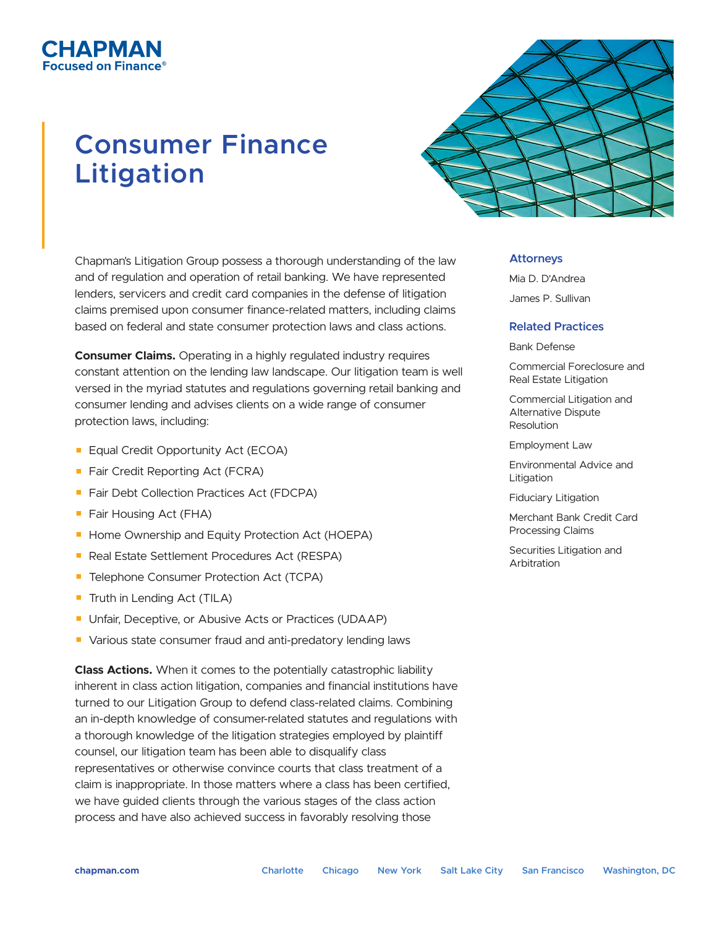## СНАРМАН ed on Finance®

# **Consumer Finance Litigation**

Chapman's Litigation Group possess a thorough understanding of the law and of regulation and operation of retail banking. We have represented lenders, servicers and credit card companies in the defense of litigation claims premised upon consumer finance-related matters, including claims based on federal and state consumer protection laws and class actions.

**Consumer Claims.** Operating in a highly regulated industry requires constant attention on the lending law landscape. Our litigation team is well versed in the myriad statutes and regulations governing retail banking and consumer lending and advises clients on a wide range of consumer protection laws, including:

- Equal Credit Opportunity Act (ECOA)
- Fair Credit Reporting Act (FCRA)
- Fair Debt Collection Practices Act (FDCPA)
- Fair Housing Act (FHA)
- Home Ownership and Equity Protection Act (HOEPA)
- Real Estate Settlement Procedures Act (RESPA)
- Telephone Consumer Protection Act (TCPA)
- Truth in Lending Act (TILA)
- Unfair, Deceptive, or Abusive Acts or Practices (UDAAP)
- Various state consumer fraud and anti-predatory lending laws

**Class Actions.** When it comes to the potentially catastrophic liability inherent in class action litigation, companies and financial institutions have turned to our Litigation Group to defend class-related claims. Combining an in-depth knowledge of consumer-related statutes and regulations with a thorough knowledge of the litigation strategies employed by plaintiff counsel, our litigation team has been able to disqualify class representatives or otherwise convince courts that class treatment of a claim is inappropriate. In those matters where a class has been certified, we have guided clients through the various stages of the class action process and have also achieved success in favorably resolving those



#### **Attorneys**

Mia D. D'Andrea James P. Sullivan

#### **Related Practices**

Bank Defense

Commercial Foreclosure and Real Estate Litigation

Commercial Litigation and Alternative Dispute Resolution

Employment Law

Environmental Advice and Litigation

Fiduciary Litigation

Merchant Bank Credit Card Processing Claims

Securities Litigation and Arbitration